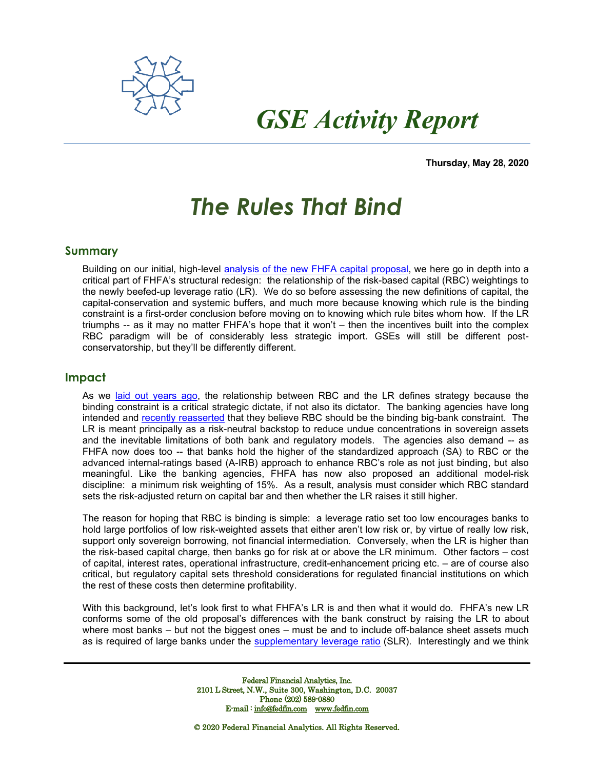

# *GSE Activity Report*

**Thursday, May 28, 2020**

## *The Rules That Bind*

### **Summary**

Building on our initial, high-level [analysis of the new FHFA capital proposal,](http://www.fedfin.com/document-center/doc_view/12306-gse-052620a) we here go in depth into a critical part of FHFA's structural redesign: the relationship of the risk-based capital (RBC) weightings to the newly beefed-up leverage ratio (LR). We do so before assessing the new definitions of capital, the capital-conservation and systemic buffers, and much more because knowing which rule is the binding constraint is a first-order conclusion before moving on to knowing which rule bites whom how. If the LR triumphs -- as it may no matter FHFA's hope that it won't – then the incentives built into the complex RBC paradigm will be of considerably less strategic import. GSEs will still be different postconservatorship, but they'll be differently different.

#### **Impact**

As we [laid out years ago,](http://www.fedfin.com/images/stories/client_reports/FedFin%20Study%20-%20The%20Market%20and%20Policy%20Impact%20of%20Reduced%20Custody-Bank%20Deposit%20Capacity.pdf) the relationship between RBC and the LR defines strategy because the binding constraint is a critical strategic dictate, if not also its dictator. The banking agencies have long intended and [recently reasserted](http://www.fedfin.com/document-center/doc_view/11986-sifi34) that they believe RBC should be the binding big-bank constraint. The LR is meant principally as a risk-neutral backstop to reduce undue concentrations in sovereign assets and the inevitable limitations of both bank and regulatory models. The agencies also demand -- as FHFA now does too -- that banks hold the higher of the standardized approach (SA) to RBC or the advanced internal-ratings based (A-IRB) approach to enhance RBC's role as not just binding, but also meaningful. Like the banking agencies, FHFA has now also proposed an additional model-risk discipline: a minimum risk weighting of 15%. As a result, analysis must consider which RBC standard sets the risk-adjusted return on capital bar and then whether the LR raises it still higher.

The reason for hoping that RBC is binding is simple: a leverage ratio set too low encourages banks to hold large portfolios of low risk-weighted assets that either aren't low risk or, by virtue of really low risk, support only sovereign borrowing, not financial intermediation. Conversely, when the LR is higher than the risk-based capital charge, then banks go for risk at or above the LR minimum. Other factors – cost of capital, interest rates, operational infrastructure, credit-enhancement pricing etc. – are of course also critical, but regulatory capital sets threshold considerations for regulated financial institutions on which the rest of these costs then determine profitability.

With this background, let's look first to what FHFA's LR is and then what it would do. FHFA's new LR conforms some of the old proposal's differences with the bank construct by raising the LR to about where most banks – but not the biggest ones – must be and to include off-balance sheet assets much as is required of large banks under the [supplementary leverage ratio](http://www.fedfin.com/document-center/doc_view/12298-leverage23) (SLR). Interestingly and we think

> Federal Financial Analytics, Inc. 2101 L Street, N.W., Suite 300, Washington, D.C. 20037 Phone (202) 589-0880 E-mail [: info@fedfin.com](mailto:info@fedfin.com) [www.fedfin.com](http://www.fedfin.com/)

© 2020 Federal Financial Analytics. All Rights Reserved.